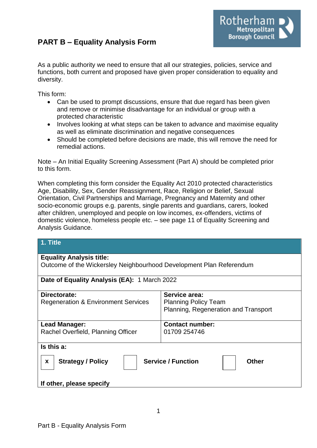# **PART B – Equality Analysis Form**



As a public authority we need to ensure that all our strategies, policies, service and functions, both current and proposed have given proper consideration to equality and diversity.

This form:

- Can be used to prompt discussions, ensure that due regard has been given and remove or minimise disadvantage for an individual or group with a protected characteristic
- Involves looking at what steps can be taken to advance and maximise equality as well as eliminate discrimination and negative consequences
- Should be completed before decisions are made, this will remove the need for remedial actions.

Note – An Initial Equality Screening Assessment (Part A) should be completed prior to this form.

When completing this form consider the Equality Act 2010 protected characteristics Age, Disability, Sex, Gender Reassignment, Race, Religion or Belief, Sexual Orientation, Civil Partnerships and Marriage, Pregnancy and Maternity and other socio-economic groups e.g. parents, single parents and guardians, carers, looked after children, unemployed and people on low incomes, ex-offenders, victims of domestic violence, homeless people etc. – see page 11 of Equality Screening and Analysis Guidance.

| 1. Title                                                            |                                      |
|---------------------------------------------------------------------|--------------------------------------|
| <b>Equality Analysis title:</b>                                     |                                      |
| Outcome of the Wickersley Neighbourhood Development Plan Referendum |                                      |
| Date of Equality Analysis (EA): 1 March 2022                        |                                      |
| Directorate:                                                        | Service area:                        |
| <b>Regeneration &amp; Environment Services</b>                      | <b>Planning Policy Team</b>          |
|                                                                     | Planning, Regeneration and Transport |

| <b>Lead Manager:</b>                        | <b>Contact number:</b>                    |
|---------------------------------------------|-------------------------------------------|
| Rachel Overfield, Planning Officer          | 01709 254746                              |
| Is this a:<br><b>Strategy / Policy</b><br>X | <b>Service / Function</b><br><b>Other</b> |

**If other, please specify**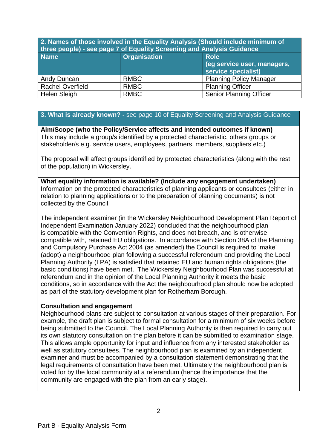**2. Names of those involved in the Equality Analysis (Should include minimum of three people) - see page 7 of Equality Screening and Analysis Guidance** 

| <b>Name</b>             | <b>Organisation</b> | <b>Role</b><br>(eg service user, managers,<br>service specialist) |
|-------------------------|---------------------|-------------------------------------------------------------------|
| Andy Duncan             | <b>RMBC</b>         | <b>Planning Policy Manager</b>                                    |
| <b>Rachel Overfield</b> | <b>RMBC</b>         | <b>Planning Officer</b>                                           |
| <b>Helen Sleigh</b>     | <b>RMBC</b>         | <b>Senior Planning Officer</b>                                    |

### **3. What is already known? -** see page 10 of Equality Screening and Analysis Guidance

**Aim/Scope (who the Policy/Service affects and intended outcomes if known)** This may include a group/s identified by a protected characteristic, others groups or stakeholder/s e.g. service users, employees, partners, members, suppliers etc.)

The proposal will affect groups identified by protected characteristics (along with the rest of the population) in Wickersley.

**What equality information is available? (Include any engagement undertaken)** Information on the protected characteristics of planning applicants or consultees (either in relation to planning applications or to the preparation of planning documents) is not collected by the Council.

The independent examiner (in the Wickersley Neighbourhood Development Plan Report of Independent Examination January 2022) concluded that the neighbourhood plan is compatible with the Convention Rights, and does not breach, and is otherwise compatible with, retained EU obligations. In accordance with Section 38A of the Planning and Compulsory Purchase Act 2004 (as amended) the Council is required to 'make' (adopt) a neighbourhood plan following a successful referendum and providing the Local Planning Authority (LPA) is satisfied that retained EU and human rights obligations (the basic conditions) have been met. The Wickersley Neighbourhood Plan was successful at referendum and in the opinion of the Local Planning Authority it meets the basic conditions, so in accordance with the Act the neighbourhood plan should now be adopted as part of the statutory development plan for Rotherham Borough.

#### **Consultation and engagement**

Neighbourhood plans are subject to consultation at various stages of their preparation. For example, the draft plan is subject to formal consultation for a minimum of six weeks before being submitted to the Council. The Local Planning Authority is then required to carry out its own statutory consultation on the plan before it can be submitted to examination stage. This allows ample opportunity for input and influence from any interested stakeholder as well as statutory consultees. The neighbourhood plan is examined by an independent examiner and must be accompanied by a consultation statement demonstrating that the legal requirements of consultation have been met. Ultimately the neighbourhood plan is voted for by the local community at a referendum (hence the importance that the community are engaged with the plan from an early stage).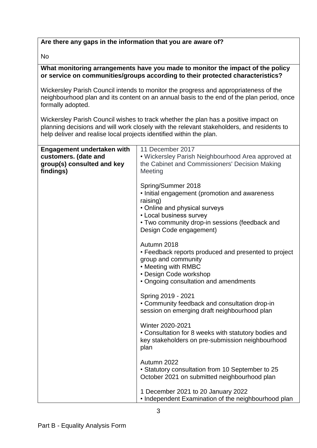## **Are there any gaps in the information that you are aware of?**

No

### **What monitoring arrangements have you made to monitor the impact of the policy or service on communities/groups according to their protected characteristics?**

Wickersley Parish Council intends to monitor the progress and appropriateness of the neighbourhood plan and its content on an annual basis to the end of the plan period, once formally adopted.

Wickersley Parish Council wishes to track whether the plan has a positive impact on planning decisions and will work closely with the relevant stakeholders, and residents to help deliver and realise local projects identified within the plan.

| <b>Engagement undertaken with</b> | 11 December 2017                                     |
|-----------------------------------|------------------------------------------------------|
| customers. (date and              | • Wickersley Parish Neighbourhood Area approved at   |
| group(s) consulted and key        | the Cabinet and Commissioners' Decision Making       |
| findings)                         | Meeting                                              |
|                                   |                                                      |
|                                   | Spring/Summer 2018                                   |
|                                   | • Initial engagement (promotion and awareness        |
|                                   | raising)                                             |
|                                   | • Online and physical surveys                        |
|                                   | • Local business survey                              |
|                                   | • Two community drop-in sessions (feedback and       |
|                                   | Design Code engagement)                              |
|                                   |                                                      |
|                                   | Autumn 2018                                          |
|                                   | • Feedback reports produced and presented to project |
|                                   | group and community                                  |
|                                   | • Meeting with RMBC                                  |
|                                   | • Design Code workshop                               |
|                                   | • Ongoing consultation and amendments                |
|                                   |                                                      |
|                                   | Spring 2019 - 2021                                   |
|                                   | • Community feedback and consultation drop-in        |
|                                   | session on emerging draft neighbourhood plan         |
|                                   |                                                      |
|                                   | Winter 2020-2021                                     |
|                                   | • Consultation for 8 weeks with statutory bodies and |
|                                   | key stakeholders on pre-submission neighbourhood     |
|                                   | plan                                                 |
|                                   |                                                      |
|                                   | Autumn 2022                                          |
|                                   | • Statutory consultation from 10 September to 25     |
|                                   | October 2021 on submitted neighbourhood plan         |
|                                   |                                                      |
|                                   | 1 December 2021 to 20 January 2022                   |
|                                   | • Independent Examination of the neighbourhood plan  |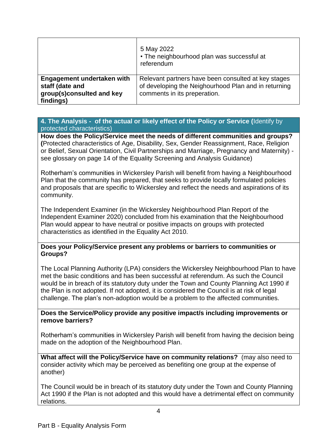|                                                                                         | 5 May 2022<br>• The neighbourhood plan was successful at<br>referendum                                                                      |
|-----------------------------------------------------------------------------------------|---------------------------------------------------------------------------------------------------------------------------------------------|
| Engagement undertaken with<br>staff (date and<br>group(s)consulted and key<br>findings) | Relevant partners have been consulted at key stages<br>of developing the Neighourhood Plan and in returning<br>comments in its preperation. |

### **4. The Analysis - of the actual or likely effect of the Policy or Service (**Identify by protected characteristics)

**How does the Policy/Service meet the needs of different communities and groups? (**Protected characteristics of Age, Disability, Sex, Gender Reassignment, Race, Religion or Belief, Sexual Orientation, Civil Partnerships and Marriage, Pregnancy and Maternity) see glossary on page 14 of the Equality Screening and Analysis Guidance)

Rotherham's communities in Wickersley Parish will benefit from having a Neighbourhood Plan that the community has prepared, that seeks to provide locally formulated policies and proposals that are specific to Wickersley and reflect the needs and aspirations of its community.

The Independent Examiner (in the Wickersley Neighbourhood Plan Report of the Independent Examiner 2020) concluded from his examination that the Neighbourhood Plan would appear to have neutral or positive impacts on groups with protected characteristics as identified in the Equality Act 2010.

#### **Does your Policy/Service present any problems or barriers to communities or Groups?**

The Local Planning Authority (LPA) considers the Wickersley Neighbourhood Plan to have met the basic conditions and has been successful at referendum. As such the Council would be in breach of its statutory duty under the Town and County Planning Act 1990 if the Plan is not adopted. If not adopted, it is considered the Council is at risk of legal challenge. The plan's non-adoption would be a problem to the affected communities.

#### **Does the Service/Policy provide any positive impact/s including improvements or remove barriers?**

Rotherham's communities in Wickersley Parish will benefit from having the decision being made on the adoption of the Neighbourhood Plan.

**What affect will the Policy/Service have on community relations?** (may also need to consider activity which may be perceived as benefiting one group at the expense of another)

The Council would be in breach of its statutory duty under the Town and County Planning Act 1990 if the Plan is not adopted and this would have a detrimental effect on community relations.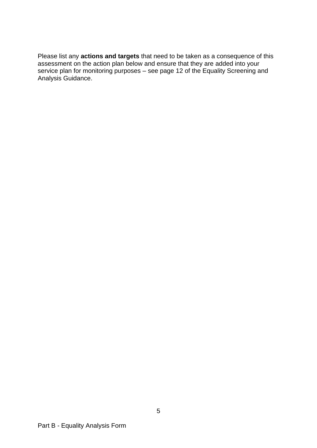Please list any **actions and targets** that need to be taken as a consequence of this assessment on the action plan below and ensure that they are added into your service plan for monitoring purposes – see page 12 of the Equality Screening and Analysis Guidance.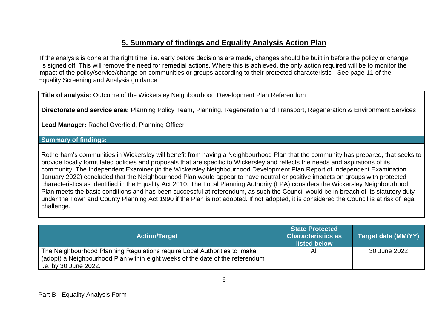# **5. Summary of findings and Equality Analysis Action Plan**

If the analysis is done at the right time, i.e. early before decisions are made, changes should be built in before the policy or change is signed off. This will remove the need for remedial actions. Where this is achieved, the only action required will be to monitor the impact of the policy/service/change on communities or groups according to their protected characteristic - See page 11 of the Equality Screening and Analysis guidance

**Title of analysis:** Outcome of the Wickersley Neighbourhood Development Plan Referendum

**Directorate and service area:** Planning Policy Team, Planning, Regeneration and Transport, Regeneration & Environment Services

**Lead Manager:** Rachel Overfield, Planning Officer

### **Summary of findings:**

Rotherham's communities in Wickersley will benefit from having a Neighbourhood Plan that the community has prepared, that seeks to provide locally formulated policies and proposals that are specific to Wickersley and reflects the needs and aspirations of its community. The Independent Examiner (in the Wickersley Neighbourhood Development Plan Report of Independent Examination January 2022) concluded that the Neighbourhood Plan would appear to have neutral or positive impacts on groups with protected characteristics as identified in the Equality Act 2010. The Local Planning Authority (LPA) considers the Wickersley Neighbourhood Plan meets the basic conditions and has been successful at referendum, as such the Council would be in breach of its statutory duty under the Town and County Planning Act 1990 if the Plan is not adopted. If not adopted, it is considered the Council is at risk of legal challenge.

| <b>Action/Target</b>                                                                                                                                                                 | <b>State Protected</b><br><b>Characteristics as</b><br>listed below | Target date (MM/YY) |
|--------------------------------------------------------------------------------------------------------------------------------------------------------------------------------------|---------------------------------------------------------------------|---------------------|
| The Neighbourhood Planning Regulations require Local Authorities to 'make'<br>(adopt) a Neighbourhood Plan within eight weeks of the date of the referendum<br>i.e. by 30 June 2022. | All                                                                 | 30 June 2022        |